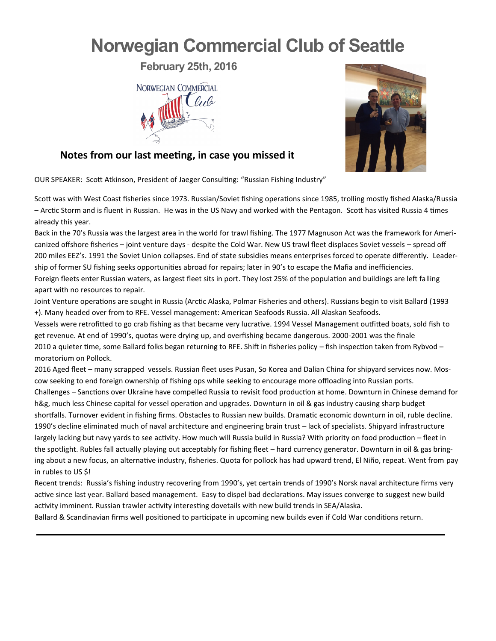## **Norwegian Commercial Club of Seattle**

**February 25th, 2016**





## **Notes from our last meeting, in case you missed it**

OUR SPEAKER: Scott Atkinson, President of Jaeger Consulting: "Russian Fishing Industry"

Scott was with West Coast fisheries since 1973. Russian/Soviet fishing operations since 1985, trolling mostly fished Alaska/Russia – Arctic Storm and is fluent in Russian. He was in the US Navy and worked with the Pentagon. Scott has visited Russia 4 times already this year.

Back in the 70's Russia was the largest area in the world for trawl fishing. The 1977 Magnuson Act was the framework for Americanized offshore fisheries – joint venture days - despite the Cold War. New US trawl fleet displaces Soviet vessels – spread off 200 miles EEZ's. 1991 the Soviet Union collapses. End of state subsidies means enterprises forced to operate differently. Leadership of former SU fishing seeks opportunities abroad for repairs; later in 90's to escape the Mafia and inefficiencies. Foreign fleets enter Russian waters, as largest fleet sits in port. They lost 25% of the population and buildings are left falling apart with no resources to repair.

Joint Venture operations are sought in Russia (Arctic Alaska, Polmar Fisheries and others). Russians begin to visit Ballard (1993 +). Many headed over from to RFE. Vessel management: American Seafoods Russia. All Alaskan Seafoods.

Vessels were retrofitted to go crab fishing as that became very lucrative. 1994 Vessel Management outfitted boats, sold fish to get revenue. At end of 1990's, quotas were drying up, and overfishing became dangerous. 2000-2001 was the finale 2010 a quieter time, some Ballard folks began returning to RFE. Shift in fisheries policy – fish inspection taken from Rybvod – moratorium on Pollock.

2016 Aged fleet – many scrapped vessels. Russian fleet uses Pusan, So Korea and Dalian China for shipyard services now. Moscow seeking to end foreign ownership of fishing ops while seeking to encourage more offloading into Russian ports. Challenges – Sanctions over Ukraine have compelled Russia to revisit food production at home. Downturn in Chinese demand for h&g, much less Chinese capital for vessel operation and upgrades. Downturn in oil & gas industry causing sharp budget shortfalls. Turnover evident in fishing firms. Obstacles to Russian new builds. Dramatic economic downturn in oil, ruble decline. 1990's decline eliminated much of naval architecture and engineering brain trust – lack of specialists. Shipyard infrastructure largely lacking but navy yards to see activity. How much will Russia build in Russia? With priority on food production – fleet in the spotlight. Rubles fall actually playing out acceptably for fishing fleet – hard currency generator. Downturn in oil & gas bringing about a new focus, an alternative industry, fisheries. Quota for pollock has had upward trend, El Niño, repeat. Went from pay in rubles to US \$!

Recent trends: Russia's fishing industry recovering from 1990's, yet certain trends of 1990's Norsk naval architecture firms very active since last year. Ballard based management. Easy to dispel bad declarations. May issues converge to suggest new build activity imminent. Russian trawler activity interesting dovetails with new build trends in SEA/Alaska.

Ballard & Scandinavian firms well positioned to participate in upcoming new builds even if Cold War conditions return.